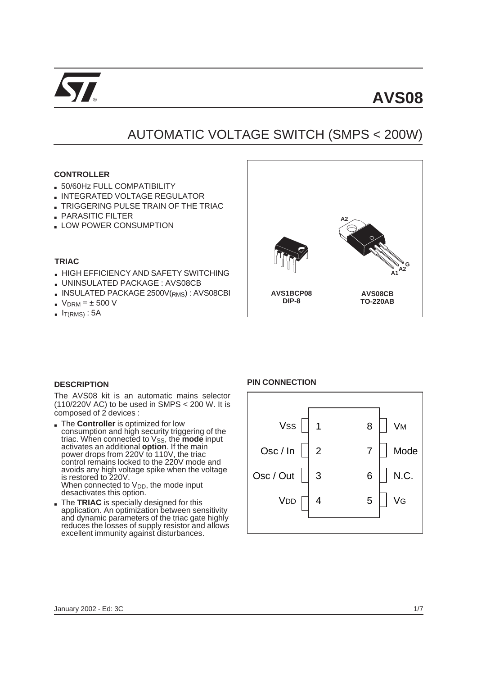

# ® **AVS08**

## AUTOMATIC VOLTAGE SWITCH (SMPS < 200W)

#### **CONTROLLER**

- 50/60Hz FULL COMPATIBILITY
- **. INTEGRATED VOLTAGE REGULATOR**
- . TRIGGERING PULSE TRAIN OF THE TRIAC
- PARASITIC FILTER
- **LOW POWER CONSUMPTION**

#### **TRIAC**

- **HIGH EFFICIENCY AND SAFETY SWITCHING**
- UNINSULATED PACKAGE : AVS08CB
- $\blacksquare$  INSULATED PACKAGE 2500V( $_{RMS}$ ) : AVS08CBI
- $V_{DRM} = \pm 500$  V
- $I_{T(RMS)}$ : 5A



#### **DESCRIPTION**

The AVS08 kit is an automatic mains selector (110/220V AC) to be used in SMPS < 200 W. It is composed of 2 devices :

- The **Controller** is optimized for low consumption and high security triggering of the triac. When connected to Vss, the **mode** input activates an additional **option**. If the main power drops from 220V to 110V, the triac control remains locked to the 220V mode and avoids any high voltage spike when the voltage is restored to 220V. When connected to V<sub>DD</sub>, the mode input desactivates this option.
- The **TRIAC** is specially designed for this application. An optimization between sensitivity and dynamic parameters of the triac gate highly reduces the losses of supply resistor and allows excellent immunity against disturbances.

#### **PIN CONNECTION**

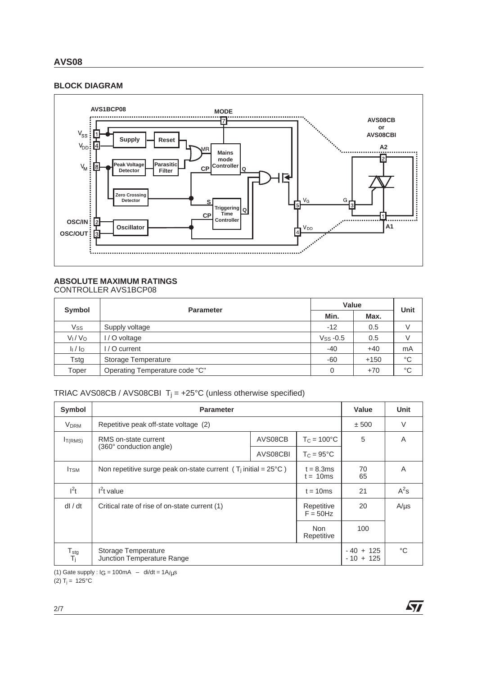#### **AVS08**

#### **BLOCK DIAGRAM**



#### **ABSOLUTE MAXIMUM RATINGS** CONTROLLER AVS1BCP08

| Symbol                         | <b>Parameter</b>               | Value                    | Unit   |                   |
|--------------------------------|--------------------------------|--------------------------|--------|-------------------|
|                                |                                | Min.                     | Max.   |                   |
| Vss                            | Supply voltage                 | $-12$                    | 0.5    | V                 |
| V <sub>I</sub> /V <sub>O</sub> | / O voltage                    | $V$ <sub>SS</sub> $-0.5$ | 0.5    |                   |
| I <sub>1</sub> /I <sub>0</sub> | / O current                    | $-40$                    | $+40$  | mA                |
| Tstg                           | <b>Storage Temperature</b>     | $-60$                    | $+150$ | $^{\circ}C$       |
| Toper                          | Operating Temperature code "C" | 0                        | $+70$  | $^{\circ}{\rm C}$ |

## TRIAC AVS08CB / AVS08CBI  $T_j = +25^{\circ}C$  (unless otherwise specified)

| Symbol                                       | <b>Parameter</b>                                                                                | Value                | <b>Unit</b>         |                               |           |
|----------------------------------------------|-------------------------------------------------------------------------------------------------|----------------------|---------------------|-------------------------------|-----------|
| <b>V</b> <sub>DRM</sub>                      | Repetitive peak off-state voltage (2)                                                           | ± 500                | V                   |                               |           |
| I <sub>T(RMS)</sub>                          | RMS on-state current                                                                            | $T_c = 100^{\circ}C$ | 5                   | A                             |           |
|                                              | (360° conduction angle)<br>AVS08CBI                                                             |                      | $T_C = 95^{\circ}C$ |                               |           |
| <b>I</b> TSM                                 | Non repetitive surge peak on-state current ( $T_i$ initial = 25°C)<br>$t = 8.3ms$<br>$t = 10ms$ |                      |                     |                               | A         |
| $l^2t$                                       | $I2t$ value<br>$t = 10ms$                                                                       |                      |                     |                               | $A^2s$    |
| dl/dt                                        | Critical rate of rise of on-state current (1)<br>Repetitive<br>$F = 50$ Hz                      |                      |                     |                               | $A/\mu s$ |
|                                              | <b>Non</b><br>Repetitive                                                                        |                      |                     |                               |           |
| ${\mathsf T}_{\text{stg}}$<br>T <sub>i</sub> | Storage Temperature<br><b>Junction Temperature Range</b>                                        |                      |                     | $-40 + 125$<br>125<br>$-10 +$ | °C        |

57

(1) Gate supply :  $IG = 100mA - di/dt = 1A/\mu s$ (2)  $T_j = 125$ °C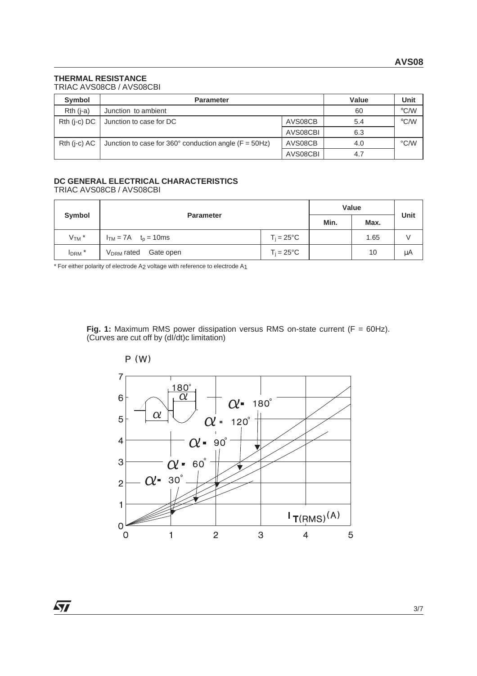#### **THERMAL RESISTANCE** TRIAC AVS08CB / AVS08CBI

| Symbol           | <b>Parameter</b>                                                  | Value    | Unit          |               |
|------------------|-------------------------------------------------------------------|----------|---------------|---------------|
| $Rth (j-a)$      | Junction to ambient                                               |          | 60            | $\degree$ C/W |
| $Rth$ (i-c) DC   | Junction to case for DC                                           | 5.4      | $\degree$ C/W |               |
|                  |                                                                   | AVS08CBI | 6.3           |               |
| $Rth$ (j-c) $AC$ | Junction to case for $360^{\circ}$ conduction angle (F = $50Hz$ ) | AVS08CB  | 4.0           | $\degree$ C/W |
|                  |                                                                   | AVS08CBI | 4.7           |               |

#### **DC GENERAL ELECTRICAL CHARACTERISTICS** TRIAC AVS08CB / AVS08CBI

|          | <b>Parameter</b>                    | Value               |  | Unit |    |
|----------|-------------------------------------|---------------------|--|------|----|
| Symbol   | Min.                                | Max.                |  |      |    |
| $VTM *$  | $I_{TM} = 7A$ $t_p = 10ms$          | $T_i = 25^{\circ}C$ |  | 1.65 |    |
| $IDRM$ * | V <sub>DRM</sub> rated<br>Gate open | $T_i = 25^{\circ}C$ |  | 10   | μA |

\* For either polarity of electrode A2 voltage with reference to electrode A1

**Fig. 1:** Maximum RMS power dissipation versus RMS on-state current (F = 60Hz). (Curves are cut off by (dI/dt)c limitation)



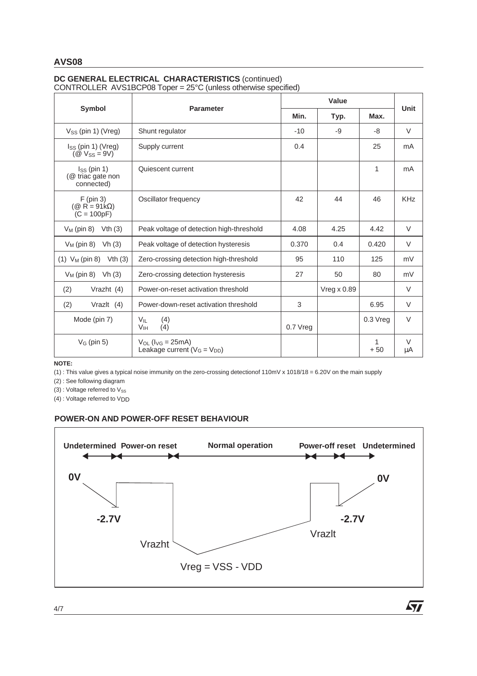#### **AVS08**

## **DC GENERAL ELECTRICAL CHARACTERISTICS** (continued)

CONTROLLER AVS1BCP08 Toper = 25°C (unless otherwise specified)

|                                                                     |                                                               |              | Unit               |            |              |
|---------------------------------------------------------------------|---------------------------------------------------------------|--------------|--------------------|------------|--------------|
| Symbol                                                              | <b>Parameter</b>                                              | Min.         | Typ.               | Max.       |              |
| $V_{SS}$ (pin 1) (Vreg)                                             | Shunt regulator                                               | $-10$        | -9                 | -8         | V            |
| Iss (pin 1) (Vreg)<br>(@ $V_{SS} = 9V$ )                            | Supply current                                                | 0.4          |                    | 25         | mA           |
| $\mathsf{ls}_\mathsf{S}$ (pin 1)<br>(@ triac gate non<br>connected) | Quiescent current                                             |              |                    | 1          | mA           |
| $F$ (pin 3)<br>$(\textcircled{a} R = 91k\Omega)$<br>$(C = 100pF)$   | Oscillator frequency                                          | 42           | 44                 | 46         | <b>KHz</b>   |
| $V_M$ (pin 8) Vth (3)                                               | Peak voltage of detection high-threshold                      | 4.08         | 4.25               | 4.42       | V            |
| $V_M$ (pin 8) Vh (3)                                                | Peak voltage of detection hysteresis                          | 0.370<br>0.4 |                    | 0.420      | $\vee$       |
| Vth(3)<br>(1) $V_M$ (pin 8)                                         | Zero-crossing detection high-threshold                        | 95           | 110                | 125        | mV           |
| $V_M$ (pin 8) Vh (3)                                                | Zero-crossing detection hysteresis                            | 27           | 50                 | 80         | mV           |
| (2)<br>Vrazht $(4)$                                                 | Power-on-reset activation threshold                           |              | Vreg $\times$ 0.89 |            | V            |
| (2)<br>Vrazlt (4)                                                   | Power-down-reset activation threshold                         | 3            |                    | 6.95       | $\vee$       |
| Mode (pin 7)                                                        | $V_{II}$<br>(4)<br><b>V<sub>IH</sub></b><br>(4)               | 0.7 Vreg     |                    | 0.3 Vreg   | $\vee$       |
| $V_G$ (pin 5)                                                       | $V_{OL}$ ( $I_{VG}$ = 25mA)<br>Leakage current ( $VG = VDD$ ) |              |                    | 1<br>$+50$ | $\vee$<br>μA |

**NOTE:**

(1) : This value gives a typical noise immunity on the zero-crossing detectionof 110mV x 1018/18 = 6.20V on the main supply

(2) : See following diagram

 $(3)$ : Voltage referred to Vss

(4) : Voltage referred to VDD

### **POWER-ON AND POWER-OFF RESET BEHAVIOUR**



57

4/7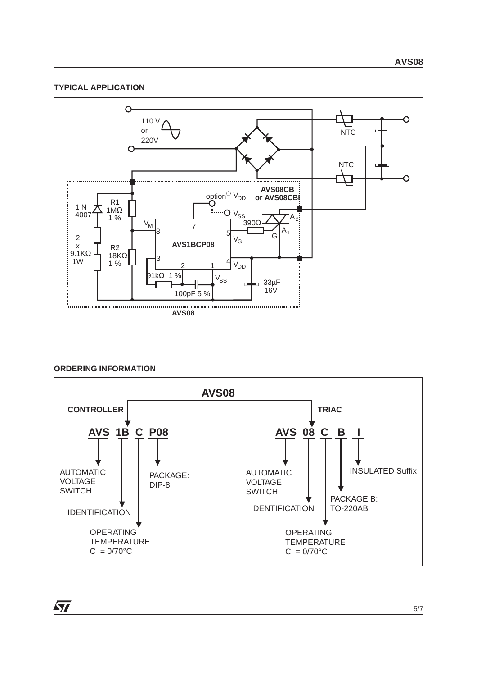#### **TYPICAL APPLICATION**

![](_page_4_Figure_2.jpeg)

**ORDERING INFORMATION**

![](_page_4_Figure_4.jpeg)

57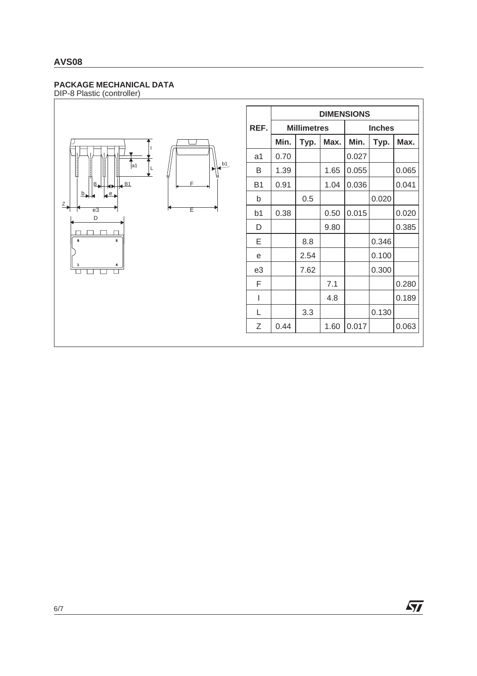#### **PACKAGE MECHANICAL DATA**

DIP-8 Plastic (controller)

![](_page_5_Figure_3.jpeg)

|                | <b>DIMENSIONS</b>  |      |      |       |               |       |  |
|----------------|--------------------|------|------|-------|---------------|-------|--|
| REF.           | <b>Millimetres</b> |      |      |       | <b>Inches</b> |       |  |
|                | Min.               | Typ. | Max. | Min.  | Typ.          | Max.  |  |
| a1             | 0.70               |      |      | 0.027 |               |       |  |
| Β              | 1.39               |      | 1.65 | 0.055 |               | 0.065 |  |
| <b>B1</b>      | 0.91               |      | 1.04 | 0.036 |               | 0.041 |  |
| b              |                    | 0.5  |      |       | 0.020         |       |  |
| b <sub>1</sub> | 0.38               |      | 0.50 | 0.015 |               | 0.020 |  |
| D              |                    |      | 9.80 |       |               | 0.385 |  |
| Е              |                    | 8.8  |      |       | 0.346         |       |  |
| e              |                    | 2.54 |      |       | 0.100         |       |  |
| e3             |                    | 7.62 |      |       | 0.300         |       |  |
| F              |                    |      | 7.1  |       |               | 0.280 |  |
| I              |                    |      | 4.8  |       |               | 0.189 |  |
| L              |                    | 3.3  |      |       | 0.130         |       |  |
| Ζ              | 0.44               |      | 1.60 | 0.017 |               | 0.063 |  |

 $\overline{M}$